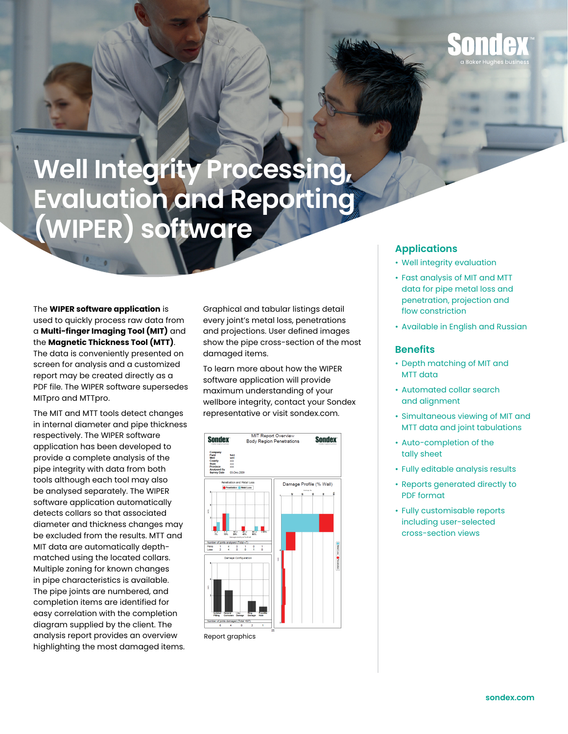

## **Well Integrity Processing, Evaluation and Reporting (WIPER) software**

The **WIPER software application** is used to quickly process raw data from a **Multi-finger Imaging Tool (MIT)** and the **Magnetic Thickness Tool (MTT)**. The data is conveniently presented on screen for analysis and a customized report may be created directly as a PDF file. The WIPER software supersedes MITpro and MTTpro.

The MIT and MTT tools detect changes in internal diameter and pipe thickness respectively. The WIPER software application has been developed to provide a complete analysis of the pipe integrity with data from both tools although each tool may also be analysed separately. The WIPER software application automatically detects collars so that associated diameter and thickness changes may be excluded from the results. MTT and MIT data are automatically depthmatched using the located collars. Multiple zoning for known changes in pipe characteristics is available. The pipe joints are numbered, and completion items are identified for easy correlation with the completion diagram supplied by the client. The analysis report provides an overview highlighting the most damaged items.

Graphical and tabular listings detail every joint's metal loss, penetrations and projections. User defined images show the pipe cross-section of the most damaged items.

To learn more about how the WIPER software application will provide maximum understanding of your wellbore integrity, contact your Sondex representative or visit sondex.com.



Report graphics

## **Applications**

- Well integrity evaluation
- Fast analysis of MIT and MTT data for pipe metal loss and penetration, projection and flow constriction
- Available in English and Russian

## **Benefits**

- Depth matching of MIT and MTT data
- Automated collar search and alignment
- Simultaneous viewing of MIT and MTT data and joint tabulations
- Auto-completion of the tally sheet
- Fully editable analysis results
- Reports generated directly to PDF format
- Fully customisable reports including user-selected cross-section views